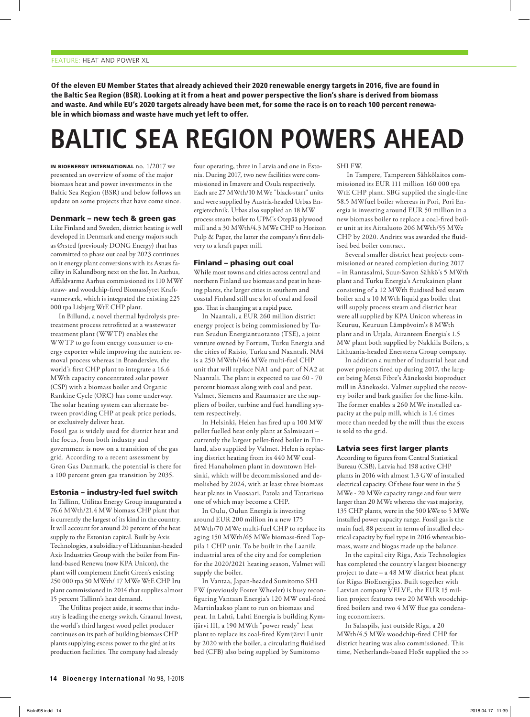Of the eleven EU Member States that already achieved their 2020 renewable energy targets in 2016, five are found in the Baltic Sea Region (BSR). Looking at it from a heat and power perspective the lion's share is derived from biomass and waste. And while EU's 2020 targets already have been met, for some the race is on to reach 100 percent renewable in which biomass and waste have much yet left to offer.

# **BALTIC SEA REGION POWERS AHEAD**

in bioenergy international no. 1/2017 we presented an overview of some of the major biomass heat and power investments in the Baltic Sea Region (BSR) and below follows an update on some projects that have come since.

#### Denmark – new tech & green gas

Like Finland and Sweden, district heating is well developed in Denmark and energy majors such as Ørsted (previously DONG Energy) that has committed to phase out coal by 2023 continues on it energy plant conversions with its Asnæs facility in Kalundborg next on the list. In Aarhus, Affaldvarme Aarhus commissioned its 110 MWf straw- and woodchip-fired Biomassfyret Kraftvarmeværk, which is integrated the existing 225 000 tpa Lisbjerg WtE CHP plant.

In Billund, a novel thermal hydrolysis pretreatment process retrofitted at a wastewater treatment plant (WWTP) enables the WWTP to go from energy consumer to energy exporter while improving the nutrient removal process whereas in Brønderslev, the world's first CHP plant to integrate a 16.6 MWth capacity concentrated solar power (CSP) with a biomass boiler and Organic Rankine Cycle (ORC) has come underway. The solar heating system can alternate between providing CHP at peak price periods, or exclusively deliver heat. Fossil gas is widely used for district heat and the focus, from both industry and government is now on a transition of the gas grid. According to a recent assessment by Grøn Gas Danmark, the potential is there for a 100 percent green gas transition by 2035.

#### Estonia – industry-led fuel switch

In Tallinn, Utilitas Energy Group inaugurated a 76.6 MWth/21.4 MW biomass CHP plant that is currently the largest of its kind in the country. It will account for around 20 percent of the heat supply to the Estonian capital. Built by Axis Technologies, a subsidiary of Lithuanian-headed Axis Industries Group with the boiler from Finland-based Renewa (now KPA Unicon), the plant will complement Enefit Green's existing 250 000 tpa 50 MWth/ 17 MWe WtE CHP Iru plant commissioned in 2014 that supplies almost 15 percent Tallinn's heat demand.

The Utilitas project aside, it seems that industry is leading the energy switch. Graanul Invest, the world's third largest wood pellet producer continues on its path of building biomass CHP plants supplying excess power to the gird at its production facilities. The company had already

four operating, three in Latvia and one in Estonia. During 2017, two new facilities were commissioned in Imavere and Osula respectively. Each are 27 MWth/10 MWe "black-start" units and were supplied by Austria-headed Urbas Energietechnik. Urbas also supplied an 18 MW process steam boiler to UPM's Otepää plywood mill and a 30 MWth/4.3 MWe CHP to Horizon Pulp & Paper, the latter the company's first delivery to a kraft paper mill.

#### Finland – phasing out coal

While most towns and cities across central and northern Finland use biomass and peat in heating plants, the larger cities in southern and coastal Finland still use a lot of coal and fossil gas. That is changing at a rapid pace.

In Naantali, a EUR 260 million district energy project is being commissioned by Turun Seudun Energiantuotanto (TSE), a joint venture owned by Fortum, Turku Energia and the cities of Raisio, Turku and Naantali. NA4 is a 250 MWth/146 MWe multi-fuel CHP unit that will replace NA1 and part of NA2 at Naantali. The plant is expected to use 60 - 70 percent biomass along with coal and peat. Valmet, Siemens and Raumaster are the suppliers of boiler, turbine and fuel handling system respectively.

In Helsinki, Helen has fired up a 100 MW pellet fuelled heat only plant at Salmisaari – currently the largest pellet-fired boiler in Finland, also supplied by Valmet. Helen is replacing district heating from its 440 MW coalfired Hanaholmen plant in downtown Helsinki, which will be decommissioned and demolished by 2024, with at least three biomass heat plants in Vuosaari, Patola and Tattarisuo one of which may become a CHP.

In Oulu, Oulun Energia is investing around EUR 200 million in a new 175 MWth/70 MWe multi-fuel CHP to replace its aging 150 MWth/65 MWe biomass-fired Toppila 1 CHP unit. To be built in the Laanila industrial area of the city and for completion for the 2020/2021 heating season, Valmet will supply the boiler.

In Vantaa, Japan-headed Sumitomo SHI FW (previously Foster Wheeler) is busy reconfiguring Vantaan Energia's 120 MW coal-fired Martinlaakso plant to run on biomass and peat. In Lahti, Lahti Energia is building Kymijärvi III, a 190 MWth "power ready" heat plant to replace its coal-fired Kymijärvi I unit by 2020 with the boiler, a circulating fluidised bed (CFB) also being supplied by Sumitomo

SHI FW.

 In Tampere, Tampereen Sähkölaitos commissioned its EUR 111 million 160 000 tpa WtE CHP plant. SBG supplied the single-line 58.5 MWfuel boiler whereas in Pori, Pori Energia is investing around EUR 50 million in a new biomass boiler to replace a coal-fired boiler unit at its Aittaluoto 206 MWth/55 MWe CHP by 2020. Andritz was awarded the fluidised bed boiler contract.

Several smaller district heat projects commissioned or neared completion during 2017 – in Rantasalmi, Suur-Savon Sähkö's 5 MWth plant and Turku Energia's Artukainen plant consisting of a 12 MWth fluidised bed steam boiler and a 10 MWth liquid gas boiler that will supply process steam and district heat were all supplied by KPA Unicon whereas in Keuruu, Keuruun Lämpövoim's 8 MWth plant and in Urjala, Airanteen Energia's 1.5 MW plant both supplied by Nakkila Boilers, a Lithuania-headed Enerstena Group company.

In addition a number of industrial heat and power projects fired up during 2017, the largest being Metsä Fibre's Äänekoski bioproduct mill in Äänekoski. Valmet supplied the recovery boiler and bark gasifier for the lime-kiln. The former enables a 260 MWe installed capacity at the pulp mill, which is 1.4 times more than needed by the mill thus the excess is sold to the grid.

### Latvia sees first larger plants

According to figures from Central Statistical Bureau (CSB), Latvia had 198 active CHP plants in 2016 with almost 1.3 GW of installed electrical capacity. Of these four were in the 5 MWe - 20 MWe capacity range and four were larger than 20 MWe whereas the vast majority, 135 CHP plants, were in the 500 kWe to 5 MWe installed power capacity range. Fossil gas is the main fuel, 88 percent in terms of installed electrical capacity by fuel type in 2016 whereas biomass, waste and biogas made up the balance.

In the capital city Riga, Axis Technologies has completed the country's largest bioenergy project to date – a 48 MW district heat plant for Rīgas BioEnerģijas. Built together with Latvian company VELVE, the EUR 15 million project features two 20 MWth woodchipfired boilers and two 4 MW flue gas condensing economizers.

In Salaspils, just outside Riga, a 20 MWth/4.5 MWe woodchip-fired CHP for district heating was also commissioned. This time, Netherlands-based HoSt supplied the >>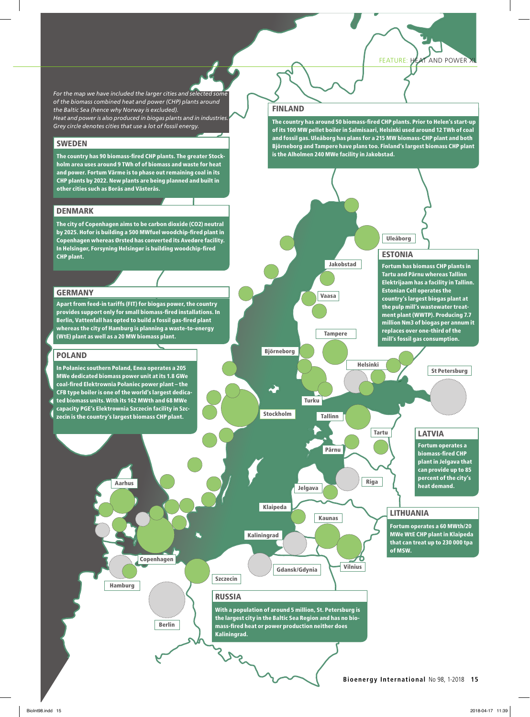FEATURE: HEAT AND POWER

*For the map we have included the larger cities and selected some of the biomass combined heat and power (CHP) plants around the Baltic Sea (hence why Norway is excluded). Heat and power is also produced in biogas plants and in industries. Grey circle denotes cities that use a lot of fossil energy.*

# **SWEDEN**

The country has 90 biomass-fired CHP plants. The greater Stockholm area uses around 9 TWh of of biomass and waste for heat and power. Fortum Värme is to phase out remaining coal in its CHP plants by 2022. New plants are being planned and built in other cities such as Borås and Västerås.

# DENMARK

The city of Copenhagen aims to be carbon dioxide (CO2) neutral by 2025. Hofor is building a 500 MWfuel woodchip-fired plant in Copenhagen whereas Ørsted has converted its Avedøre facility. In Helsingør, Forsyning Helsingør is building woodchip-fired CHP plant.

## GERMANY

Apart from feed-in tariffs (FIT) for biogas power, the country provides support only for small biomass-fired installations. In Berlin, Vattenfall has opted to build a fossil gas-fired plant whereas the city of Hamburg is planning a waste-to-energy (WtE) plant as well as a 20 MW biomass plant.

## POLAND

In Połaniec southern Poland, Enea operates a 205 MWe dedicated biomass power unit at its 1.8 GWe coal-fired Elektrownia Połaniec power plant – the CFB type boiler is one of the world's largest dedicated biomass units. With its 162 MWth and 68 MWe capacity PGE's Elektrownia Szczecin facility in Szc-

zecin is the country's largest biomass CHP plant.

Hamburg



Berlin



#### and fossil gas. Uleåborg has plans for a 215 MW biomass-CHP plant and both Björneborg and Tampere have plans too. Finland's largest biomass CHP plant is the Alholmen 240 MWe facility in Jakobstad.

FINLAND



The country has around 50 biomass-fired CHP plants. Prior to Helen's start-up of its 100 MW pellet boiler in Salmisaari, Helsinki used around 12 TWh of coal

# LITHUANIA

Fortum operates a 60 MWth/20 MWe WtE CHP plant in Klaipeda that can treat up to 230 000 tpa of MSW.

# RUSSIA

Szczecin

With a population of around 5 million, St. Petersburg is the largest city in the Baltic Sea Region and has no biomass-fired heat or power production neither does Kaliningrad.